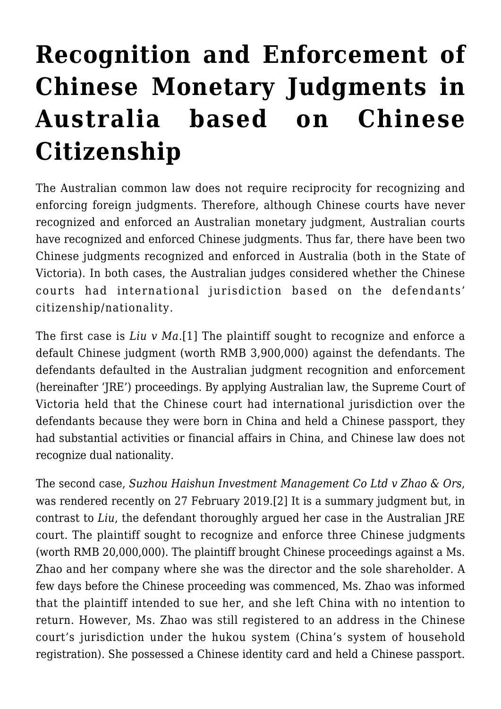## **[Recognition and Enforcement of](https://conflictoflaws.net/2019/recognition-and-enforcement-of-chinese-monetary-judgments-in-australia-based-on-chinese-citizenship/) [Chinese Monetary Judgments in](https://conflictoflaws.net/2019/recognition-and-enforcement-of-chinese-monetary-judgments-in-australia-based-on-chinese-citizenship/) [Australia based on Chinese](https://conflictoflaws.net/2019/recognition-and-enforcement-of-chinese-monetary-judgments-in-australia-based-on-chinese-citizenship/) [Citizenship](https://conflictoflaws.net/2019/recognition-and-enforcement-of-chinese-monetary-judgments-in-australia-based-on-chinese-citizenship/)**

The Australian common law does not require reciprocity for recognizing and enforcing foreign judgments. Therefore, although Chinese courts have never recognized and enforced an Australian monetary judgment, Australian courts have recognized and enforced Chinese judgments. Thus far, there have been two Chinese judgments recognized and enforced in Australia (both in the State of Victoria). In both cases, the Australian judges considered whether the Chinese courts had international jurisdiction based on the defendants' citizenship/nationality.

<span id="page-0-0"></span>The first case is *Liu v Ma*.[\[1\]](#page-3-0) The plaintiff sought to recognize and enforce a default Chinese judgment (worth RMB 3,900,000) against the defendants. The defendants defaulted in the Australian judgment recognition and enforcement (hereinafter 'JRE') proceedings. By applying Australian law, the Supreme Court of Victoria held that the Chinese court had international jurisdiction over the defendants because they were born in China and held a Chinese passport, they had substantial activities or financial affairs in China, and Chinese law does not recognize dual nationality.

<span id="page-0-1"></span>The second case, *Suzhou Haishun Investment Management Co Ltd v Zhao & Ors*, was rendered recently on 27 February 2019.[\[2\]](#page-3-1) It is a summary judgment but, in contrast to *Liu*, the defendant thoroughly argued her case in the Australian JRE court. The plaintiff sought to recognize and enforce three Chinese judgments (worth RMB 20,000,000). The plaintiff brought Chinese proceedings against a Ms. Zhao and her company where she was the director and the sole shareholder. A few days before the Chinese proceeding was commenced, Ms. Zhao was informed that the plaintiff intended to sue her, and she left China with no intention to return. However, Ms. Zhao was still registered to an address in the Chinese court's jurisdiction under the hukou system (China's system of household registration). She possessed a Chinese identity card and held a Chinese passport.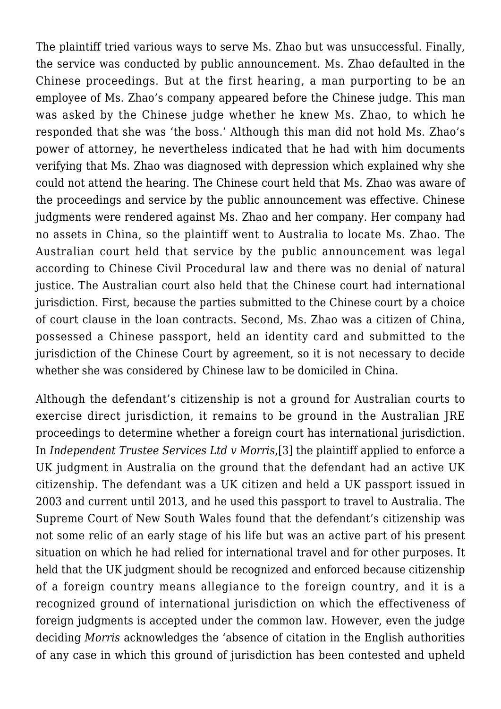The plaintiff tried various ways to serve Ms. Zhao but was unsuccessful. Finally, the service was conducted by public announcement. Ms. Zhao defaulted in the Chinese proceedings. But at the first hearing, a man purporting to be an employee of Ms. Zhao's company appeared before the Chinese judge. This man was asked by the Chinese judge whether he knew Ms. Zhao, to which he responded that she was 'the boss.' Although this man did not hold Ms. Zhao's power of attorney, he nevertheless indicated that he had with him documents verifying that Ms. Zhao was diagnosed with depression which explained why she could not attend the hearing. The Chinese court held that Ms. Zhao was aware of the proceedings and service by the public announcement was effective. Chinese judgments were rendered against Ms. Zhao and her company. Her company had no assets in China, so the plaintiff went to Australia to locate Ms. Zhao. The Australian court held that service by the public announcement was legal according to Chinese Civil Procedural law and there was no denial of natural justice. The Australian court also held that the Chinese court had international jurisdiction. First, because the parties submitted to the Chinese court by a choice of court clause in the loan contracts. Second, Ms. Zhao was a citizen of China, possessed a Chinese passport, held an identity card and submitted to the jurisdiction of the Chinese Court by agreement, so it is not necessary to decide whether she was considered by Chinese law to be domiciled in China.

<span id="page-1-1"></span><span id="page-1-0"></span>Although the defendant's citizenship is not a ground for Australian courts to exercise direct jurisdiction, it remains to be ground in the Australian JRE proceedings to determine whether a foreign court has international jurisdiction. In *Independent Trustee Services Ltd v Morris*,[\[3\]](#page-3-2) the plaintiff applied to enforce a UK judgment in Australia on the ground that the defendant had an active UK citizenship. The defendant was a UK citizen and held a UK passport issued in 2003 and current until 2013, and he used this passport to travel to Australia. The Supreme Court of New South Wales found that the defendant's citizenship was not some relic of an early stage of his life but was an active part of his present situation on which he had relied for international travel and for other purposes. It held that the UK judgment should be recognized and enforced because citizenship of a foreign country means allegiance to the foreign country, and it is a recognized ground of international jurisdiction on which the effectiveness of foreign judgments is accepted under the common law. However, even the judge deciding *Morris* acknowledges the 'absence of citation in the English authorities of any case in which this ground of jurisdiction has been contested and upheld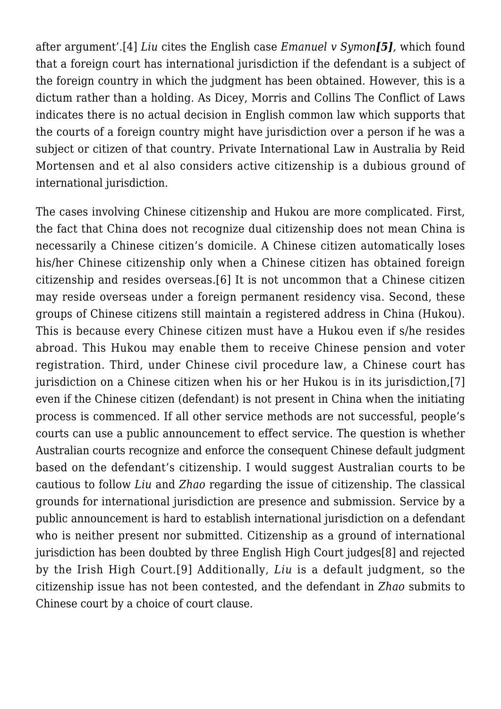after argument'.[\[4\]](#page-3-3) *Liu* cites the English case *Emanuel v Symon[\[5\]](#page-3-4),* which found that a foreign court has international jurisdiction if the defendant is a subject of the foreign country in which the judgment has been obtained. However, this is a dictum rather than a holding. As Dicey, Morris and Collins The Conflict of Laws indicates there is no actual decision in English common law which supports that the courts of a foreign country might have jurisdiction over a person if he was a subject or citizen of that country. Private International Law in Australia by Reid Mortensen and et al also considers active citizenship is a dubious ground of international jurisdiction.

<span id="page-2-3"></span><span id="page-2-2"></span><span id="page-2-1"></span><span id="page-2-0"></span>The cases involving Chinese citizenship and Hukou are more complicated. First, the fact that China does not recognize dual citizenship does not mean China is necessarily a Chinese citizen's domicile. A Chinese citizen automatically loses his/her Chinese citizenship only when a Chinese citizen has obtained foreign citizenship and resides overseas.[\[6\]](#page-3-5) It is not uncommon that a Chinese citizen may reside overseas under a foreign permanent residency visa. Second, these groups of Chinese citizens still maintain a registered address in China (Hukou). This is because every Chinese citizen must have a Hukou even if s/he resides abroad. This Hukou may enable them to receive Chinese pension and voter registration. Third, under Chinese civil procedure law, a Chinese court has jurisdiction on a Chinese citizen when his or her Hukou is in its jurisdiction,[\[7\]](#page-3-6) even if the Chinese citizen (defendant) is not present in China when the initiating process is commenced. If all other service methods are not successful, people's courts can use a public announcement to effect service. The question is whether Australian courts recognize and enforce the consequent Chinese default judgment based on the defendant's citizenship. I would suggest Australian courts to be cautious to follow *Liu* and *Zhao* regarding the issue of citizenship. The classical grounds for international jurisdiction are presence and submission. Service by a public announcement is hard to establish international jurisdiction on a defendant who is neither present nor submitted. Citizenship as a ground of international jurisdiction has been doubted by three English High Court judge[s\[8\]](#page-3-7) and rejected by the Irish High Court.[\[9\]](#page-3-8) Additionally, *Liu* is a default judgment, so the citizenship issue has not been contested, and the defendant in *Zhao* submits to Chinese court by a choice of court clause.